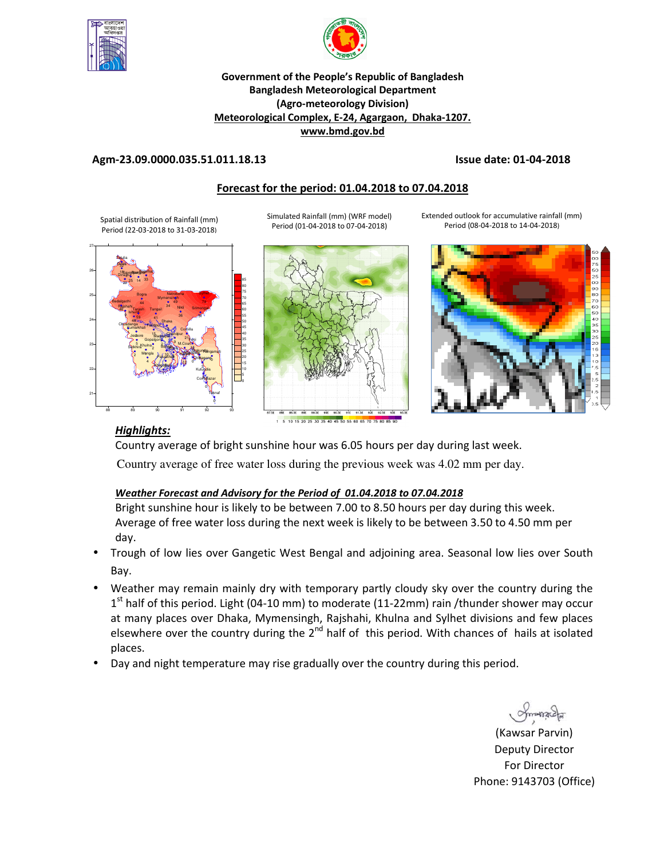



### **Government of the People's Republic of Bangladesh Bangladesh Meteorological Department (Agro-meteorology Division) Meteorological Complex, E-24, Agargaon, Dhaka-1207. www.bmd.gov.bd**

### **Agm-23.09.0000.035.51.011.18.13 Issue date: 01-04-2018**

# **Forecast for the period: 01.04.2018 to 07.04.2018**

Simulated Rainfall (mm) (WRF model) Period (01-04-2018 to 07-04-2018)

Spatial distribution of Rainfall (mm) Period (22-03-2018 to 31-03-2018)

j  $\frac{6}{25}$ j 88 89 90 91 92 93 21 22 23 24 25 26 27 Dhaka **Fahidpur** Madaripur Tangail <sup>34</sup> Nikli Gopalgonj **Mymensingh** Netrokona Chittagong Sitakunda <sub>ngamat</sub>i Cox<sup>1</sup>aBazar Teknaf **Hatiya Sandwi** Kutubdia Feni M.Court Chandpur Comilla Rajshahi<br>M6 Tarash Tangail <sup>34</sup> Nikli Srimongal Bogra Ishurdi Badalgachi Tarash **Dinajpur** Dinajpur<br>Dinajpur Tetulia Dimla Khulna Mongla **Jessore** Chuadanga **Satkhira** Kumarkhali Bar<sub>isal B</sub>ha Pajuakhala Khepupara 17 15 2 <sup>36</sup> <sup>41</sup> 2 34 49 2 Thegom<sub>a</sub> 0 0 12 0 16 4 9 21 79  $\frac{9}{59}$   $\frac{1}{41}$   $\frac{36}{59}$   $\frac{151}{20}$ 44 48 46 59  $\frac{1}{29}$   $25$  14  $33$ 32 18 1 4 5 እ 2 ę 10 h 1







# *Highlights:*

Country average of bright sunshine hour was 6.05 hours per day during last week. Country average of free water loss during the previous week was 4.02 mm per day.

## *Weather Forecast and Advisory for the Period of 01.04.2018 to 07.04.2018*

Bright sunshine hour is likely to be between 7.00 to 8.50 hours per day during this week. Average of free water loss during the next week is likely to be between 3.50 to 4.50 mm per day.

- Trough of low lies over Gangetic West Bengal and adjoining area. Seasonal low lies over South Bay.
- Weather may remain mainly dry with temporary partly cloudy sky over the country during the 1<sup>st</sup> half of this period. Light (04-10 mm) to moderate (11-22mm) rain /thunder shower may occur at many places over Dhaka, Mymensingh, Rajshahi, Khulna and Sylhet divisions and few places elsewhere over the country during the  $2<sup>nd</sup>$  half of this period. With chances of hails at isolated places.
- Day and night temperature may rise gradually over the country during this period.

**Postau** 

**N.** (Kawsar Parvin) Deputy Director For Director Phone: 9143703 (Office)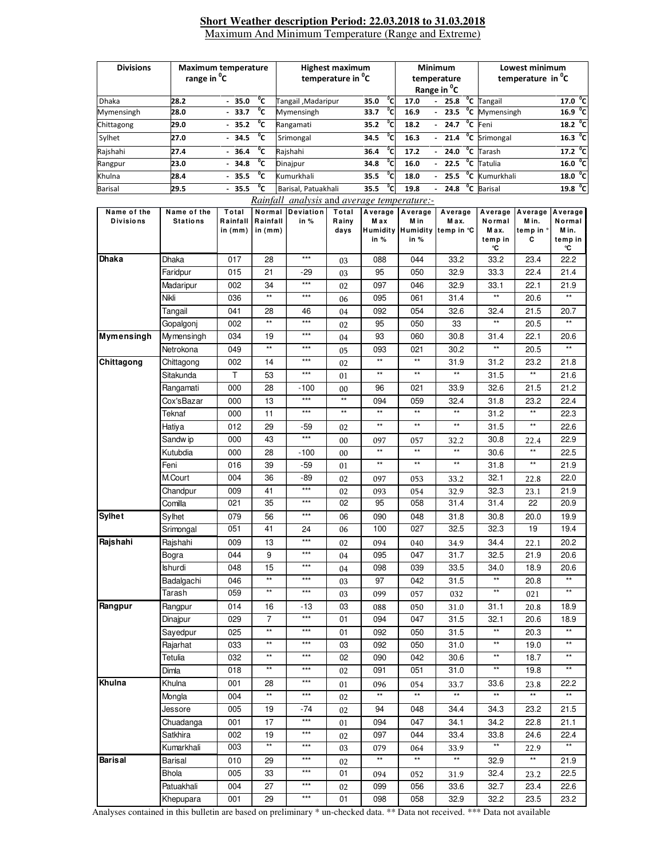#### **Short Weather description Period: 22.03.2018 to 31.03.2018**  Maximum And Minimum Temperature (Range and Extreme)

| <b>Divisions</b><br>range in <sup>o</sup> C                                                                                                                                                            |                                | <b>Maximum temperature</b>     |                                 | <b>Highest maximum</b><br>temperature in <sup>"</sup> C |                        |                         |                                                     | <b>Minimum</b><br>temperature<br>Range in <sup>o</sup> C | Lowest minimum<br>temperature in <sup>o</sup> C |                                             |                                            |
|--------------------------------------------------------------------------------------------------------------------------------------------------------------------------------------------------------|--------------------------------|--------------------------------|---------------------------------|---------------------------------------------------------|------------------------|-------------------------|-----------------------------------------------------|----------------------------------------------------------|-------------------------------------------------|---------------------------------------------|--------------------------------------------|
| Dhaka                                                                                                                                                                                                  | 28.2                           | $-35.0$                        | ℃                               | Tangail, Madaripur                                      |                        | $^{\circ}$ c<br>35.0    | 17.0                                                | 25.8<br>$\blacksquare$                                   | <sup>o</sup> C Tangail                          |                                             | 17.0 <sup>o</sup> C                        |
| Mymensingh                                                                                                                                                                                             | 28.0                           | 33.7                           | $^{\circ}$ c                    | Mymensingh                                              |                        | °с<br>33.7              | 16.9                                                | $^{\circ}$ c<br>23.5<br>$\blacksquare$                   | Mymensingh                                      |                                             | 16.9                                       |
| Chittagong                                                                                                                                                                                             | 29.0                           | $-35.2$                        | $\overline{c}$                  | Rangamati                                               |                        | ்с<br>35.2              | 18.2                                                | $^{\circ}$ c<br>24.7<br>$\blacksquare$                   | Feni                                            |                                             | 18.2                                       |
| Sylhet                                                                                                                                                                                                 | 27.0                           | 34.5                           | $^{\circ}$ c                    | Srimongal                                               |                        | °c<br>34.5              | 16.3                                                | $^{\circ}$ c<br>21.4<br>$\overline{\phantom{a}}$         | Srimongal                                       |                                             | °c<br>16.3                                 |
|                                                                                                                                                                                                        |                                | $-36.4$                        | $\overline{C}$                  |                                                         |                        | $\overline{c}$          |                                                     | $^{\circ}$ c<br>24.0                                     | Tarash                                          |                                             | $17.2 \text{ }^{\circ}$ C                  |
| Rajshahi                                                                                                                                                                                               | 27.4                           | 34.8                           | ℃                               | Rajshahi                                                |                        | 36.4<br>°c              | 17.2                                                | $\overline{\phantom{a}}$<br>$^{\circ}$ c<br>22.5         | Tatulia                                         |                                             | 16.0 °C                                    |
| Rangpur                                                                                                                                                                                                | 23.0                           |                                | $^{\circ}$ c                    | Dinajpur<br>Kumurkhali                                  |                        | 34.8<br>$^{\circ}$ c    | 16.0                                                | $\overline{a}$<br>$^{\circ}$ c                           |                                                 |                                             | °c                                         |
| Khulna                                                                                                                                                                                                 | 28.4                           | 35.5                           |                                 |                                                         |                        | 35.5                    | 18.0                                                | 25.5                                                     | Kumurkhali                                      |                                             | 18.0                                       |
| ℃<br>°c<br>°c<br><b>Barisal</b><br>$-35.5$<br>35.5<br>24.8<br>29.5<br>Barisal, Patuakhali<br>19.8<br><b>Barisal</b><br>19.8<br>$\overline{\phantom{a}}$<br>Rainfall analysis and average temperature:- |                                |                                |                                 |                                                         |                        |                         |                                                     |                                                          | °c                                              |                                             |                                            |
| Name of the<br><b>Divisions</b>                                                                                                                                                                        | Name of the<br><b>Stations</b> | Total<br>Rainfall<br>in $(mm)$ | Normal<br>Rainfall<br>in $(mm)$ | <b>Deviation</b><br>in %                                | Total<br>Rainy<br>days | Average<br>M ax<br>in % | Average<br>M in<br><b>Humidity Humidity</b><br>in % | Average<br>M ax.<br>temp in °C                           | Average<br>Normal<br>Max.<br>temp in<br>°C      | Average<br>M in.<br>temp in $^{\circ}$<br>C | Average<br>Normal<br>Min.<br>temp in<br>°C |
| <b>Dhaka</b>                                                                                                                                                                                           | Dhaka                          | 017                            | 28                              | $***$                                                   | 03                     | 088                     | 044                                                 | 33.2                                                     | 33.2                                            | 23.4                                        | 22.2                                       |
|                                                                                                                                                                                                        | Faridpur                       | 015                            | 21                              | $-29$                                                   | 03                     | 95                      | 050                                                 | 32.9                                                     | 33.3                                            | 22.4                                        | 21.4                                       |
|                                                                                                                                                                                                        | Madaripur                      | 002                            | 34                              | $***$                                                   | 02                     | 097                     | 046                                                 | 32.9                                                     | 33.1                                            | 22.1                                        | 21.9                                       |
|                                                                                                                                                                                                        | Nikli                          | 036                            | $\star\star$                    | $***$                                                   | 06                     | 095                     | 061                                                 | 31.4                                                     | $\star\star$                                    | 20.6                                        | $\star\star$                               |
|                                                                                                                                                                                                        | Tangail                        | 041                            | 28                              | 46                                                      | 04                     | 092                     | 054                                                 | 32.6                                                     | 32.4                                            | 21.5                                        | 20.7                                       |
|                                                                                                                                                                                                        | Gopalgonj                      | 002                            | $\star\star$                    | $***$                                                   | 02                     | 95                      | 050                                                 | 33                                                       | $^{\star\star}$                                 | 20.5                                        | $\star\star$                               |
| <b>Mymensingh</b>                                                                                                                                                                                      | Mymensingh                     | 034                            | 19                              | $***$                                                   | 04                     | 93                      | 060                                                 | 30.8                                                     | 31.4                                            | 22.1                                        | 20.6                                       |
|                                                                                                                                                                                                        | Netrokona                      | 049                            | $^{\star\star}$                 | $***$                                                   | 05                     | 093                     | 021                                                 | 30.2                                                     | $^{\star\star}$                                 | 20.5                                        | $^{\star\star}$                            |
| Chittagong                                                                                                                                                                                             | Chittagong                     | 002                            | 14                              | $***$                                                   | 02                     | $^{\star\star}$         | $^{\star\star}$                                     | 31.9                                                     | 31.2                                            | 23.2                                        | 21.8                                       |
|                                                                                                                                                                                                        | Sitakunda                      | T                              | 53                              | $***$                                                   | 01                     | $^{\star\star}$         | $\star\star$                                        | $\star\star$                                             | 31.5                                            | **                                          | 21.6                                       |
|                                                                                                                                                                                                        | Rangamati                      | 000                            | 28                              | $-100$                                                  | 00                     | 96                      | 021                                                 | 33.9                                                     | 32.6                                            | 21.5                                        | 21.2                                       |
|                                                                                                                                                                                                        | Cox'sBazar                     | 000                            | 13                              | $***$                                                   | $\star\star$           | 094                     | 059                                                 | 32.4                                                     | 31.8                                            | 23.2                                        | 22.4                                       |
|                                                                                                                                                                                                        | Teknaf                         | 000                            | 11                              | $***$                                                   | $\star\star$           | $\star\star$            | $\star\star$                                        | $\star\star$                                             | 31.2                                            | **                                          | 22.3                                       |
|                                                                                                                                                                                                        | Hatiya                         | 012                            | 29                              | $-59$                                                   | 02                     | $\star\star$            | $\star\star$                                        | $\star\star$                                             | 31.5                                            | **                                          | 22.6                                       |
|                                                                                                                                                                                                        | Sandw ip                       | 000                            | 43                              | $***$                                                   |                        |                         |                                                     |                                                          | 30.8                                            |                                             | 22.9                                       |
|                                                                                                                                                                                                        | Kutubdia                       | 000                            | 28                              | $-100$                                                  | 00                     | 097<br>$\star\star$     | 057<br>$^{\star\star}$                              | 32.2<br>$\star\star$                                     | 30.6                                            | 22.4<br>$\star\star$                        | 22.5                                       |
|                                                                                                                                                                                                        | Feni                           | 016                            | 39                              | $-59$                                                   | 00                     | $\star\star$            | $\star\star$                                        | $\star\star$                                             | 31.8                                            | $\star\star$                                | 21.9                                       |
|                                                                                                                                                                                                        | M.Court                        | 004                            | 36                              | $-89$                                                   | 01                     |                         |                                                     |                                                          | 32.1                                            |                                             | 22.0                                       |
|                                                                                                                                                                                                        | Chandpur                       | 009                            | 41                              | $***$                                                   | 02                     | 097                     | 053                                                 | 33.2                                                     | 32.3                                            | 22.8                                        | 21.9                                       |
|                                                                                                                                                                                                        | Comilla                        | 021                            | 35                              | $***$                                                   | 02<br>02               | 093<br>95               | 054<br>058                                          | 32.9<br>31.4                                             | 31.4                                            | 23.1<br>22                                  | 20.9                                       |
| <b>Sylhet</b>                                                                                                                                                                                          |                                |                                |                                 | $***$                                                   |                        |                         |                                                     |                                                          |                                                 |                                             |                                            |
|                                                                                                                                                                                                        | Sylhet                         | 079<br>051                     | 56<br>41                        |                                                         | 06                     | 090<br>100              | 048<br>027                                          | 31.8<br>32.5                                             | 30.8<br>32.3                                    | 20.0<br>19                                  | 19.9<br>19.4                               |
|                                                                                                                                                                                                        | Srimongal                      |                                | 13                              | 24<br>$***$                                             | 06                     |                         |                                                     |                                                          |                                                 |                                             | 20.2                                       |
| Rajshahi                                                                                                                                                                                               | Rajshahi                       | 009                            |                                 | $***$                                                   | 02                     | 094                     | 040                                                 | 34.9                                                     | 34.4                                            | 22.1                                        |                                            |
|                                                                                                                                                                                                        | Bogra                          | 044                            | 9                               | $***$                                                   | 04                     | 095                     | 047                                                 | 31.7                                                     | 32.5                                            | 21.9                                        | 20.6                                       |
|                                                                                                                                                                                                        | Ishurdi                        | 048                            | 15<br>$\star\star$              | $***$                                                   | 04                     | 098                     | 039                                                 | 33.5                                                     | 34.0<br>$^{\star\star}$                         | 18.9                                        | 20.6<br>$\star\star$                       |
|                                                                                                                                                                                                        | Badalgachi                     | 046                            | $\star\star$                    | $***$                                                   | 03                     | 97                      | 042                                                 | 31.5                                                     | $^{\star\star}$                                 | 20.8                                        | $^{\star\star}$                            |
|                                                                                                                                                                                                        | Tarash                         | 059                            |                                 |                                                         | 03                     | 099                     | 057                                                 | 032                                                      |                                                 | 021                                         |                                            |
| Rangpur                                                                                                                                                                                                | Rangpur                        | 014                            | 16                              | $-13$<br>$***$                                          | 03                     | 088                     | 050                                                 | 31.0                                                     | 31.1                                            | 20.8                                        | 18.9                                       |
|                                                                                                                                                                                                        | Dinajpur                       | 029                            | 7                               |                                                         | 01                     | 094                     | 047                                                 | 31.5                                                     | 32.1                                            | 20.6                                        | 18.9                                       |
|                                                                                                                                                                                                        | Sayedpur                       | 025                            | $\star\star$                    | $***$                                                   | 01                     | 092                     | 050                                                 | 31.5                                                     | $^{\star\star}$                                 | 20.3                                        | $^{\star\star}$                            |
|                                                                                                                                                                                                        | Rajarhat                       | 033                            | $\star\star$                    | $***$                                                   | 03                     | 092                     | 050                                                 | 31.0                                                     | $^{\star\star}$                                 | 19.0                                        | $\star\star$                               |
|                                                                                                                                                                                                        | Tetulia                        | 032                            | $\star\star$                    | $***$                                                   | 02                     | 090                     | 042                                                 | 30.6                                                     | $^{\star\star}$                                 | 18.7                                        | $\star\star$                               |
|                                                                                                                                                                                                        | Dimla                          | 018                            | $***$                           | $***$                                                   | 02                     | 091                     | 051                                                 | 31.0                                                     | $\star\star$                                    | 19.8                                        | $***$                                      |
| Khulna                                                                                                                                                                                                 | Khulna                         | 001                            | 28                              | $***$                                                   | 01                     | 096                     | 054                                                 | 33.7                                                     | 33.6                                            | 23.8                                        | 22.2                                       |
|                                                                                                                                                                                                        | Mongla                         | 004                            | $\star\star$                    | $***$                                                   | 02                     | $^{\star\star}$         | $\star\star$                                        | $\star\star$                                             | $\star\star$                                    | $\star\star$                                |                                            |
|                                                                                                                                                                                                        | Jessore                        | 005                            | 19                              | -74                                                     | 02                     | 94                      | 048                                                 | 34.4                                                     | 34.3                                            | 23.2                                        | 21.5                                       |
|                                                                                                                                                                                                        | Chuadanga                      | 001                            | 17                              | $***$                                                   | 01                     | 094                     | 047                                                 | 34.1                                                     | 34.2                                            | 22.8                                        | 21.1                                       |
|                                                                                                                                                                                                        | Satkhira                       | 002                            | 19                              | $***$                                                   | 02                     | 097                     | 044                                                 | 33.4                                                     | 33.8                                            | 24.6                                        | 22.4                                       |
|                                                                                                                                                                                                        | Kumarkhali                     | 003                            | $\star\star$                    | $***$                                                   | 03                     | 079                     | 064                                                 | 33.9                                                     | $\star\star$                                    | 22.9                                        | $\star\star$                               |
| <b>Barisal</b>                                                                                                                                                                                         | Barisal                        | 010                            | 29                              | $***$                                                   | 02                     | $^{\star\star}$         | $^{\star\star}$                                     | $\star\star$                                             | 32.9                                            | $^{\star\star}$                             | 21.9                                       |
|                                                                                                                                                                                                        | <b>Bhola</b>                   | 005                            | 33                              | $***$                                                   | 01                     | 094                     | 052                                                 | 31.9                                                     | 32.4                                            | 23.2                                        | 22.5                                       |
|                                                                                                                                                                                                        | Patuakhali                     | 004                            | 27                              | $***$                                                   | 02                     | 099                     | 056                                                 | 33.6                                                     | 32.7                                            | 23.4                                        | 22.6                                       |
|                                                                                                                                                                                                        | Khepupara                      | 001                            | 29                              | $***$                                                   | 01                     | 098                     | 058                                                 | 32.9                                                     | 32.2                                            | 23.5                                        | 23.2                                       |

Analyses contained in this bulletin are based on preliminary \* un-checked data. \*\* Data not received. \*\*\* Data not available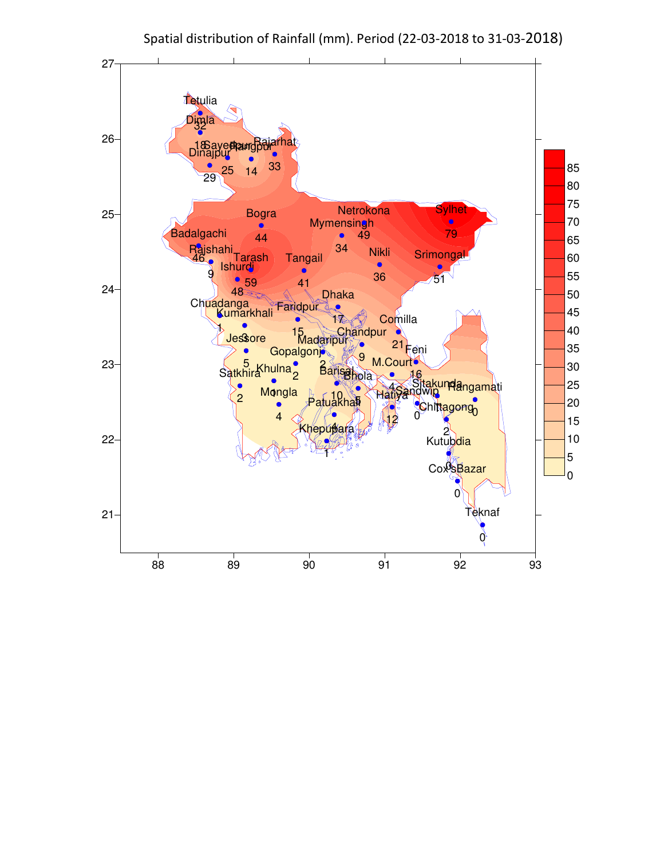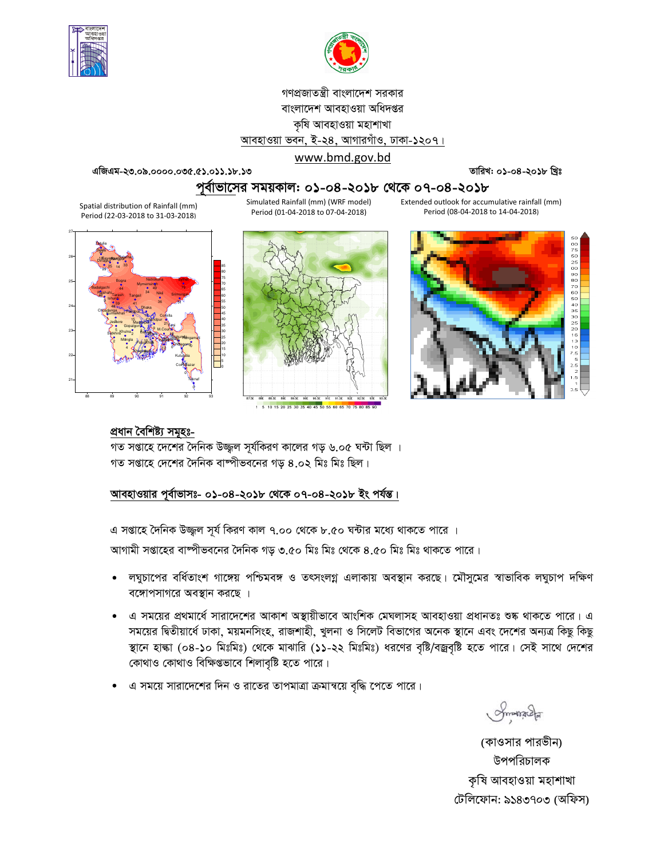



গণপ্রজাতন্ত্রী বাংলাদেশ সরকার বাংলাদেশ আবহাওয়া অধিদপ্তর কৃষি আবহাওয়া মহাশাখা আবহাওয়া ভবন, ই-২৪, আগারগাঁও, ঢাকা-১২০৭। www.bmd.gov.bd

এজিএম-২৩.০৯.০০০০.০৩৫.৫১.০১১.১৮.১৩

তারিখ: ০১-০৪-২০১৮ খ্রিঃ

# পর্বাভাসের সময়কাল: ০১-০৪-২০১৮ থেকে ০৭-০৪-২০১৮

Simulated Rainfall (mm) (WRF model) Extended outlook for accumulative rainfall (mm) Period (01-04-2018 to 07-04-2018) Period (08-04-2018 to 14-04-2018)

Spatial distribution of Rainfall (mm) Period (22-03-2018 to 31-03-2018)







# প্ৰধান বৈশিষ্ট্য সমূহঃ-

গত সপ্তাহে দেশের দৈনিক উজ্জ্বল সূর্যকিরণ কালের গড় ৬.০৫ ঘন্টা ছিল । গত সপ্তাহে দেশের দৈনিক বাষ্পীভবনের গড় ৪.০২ মিঃ মিঃ ছিল।

#### আবহাওয়ার পূর্বাভাসঃ- ০১-০৪-২০১৮ থেকে ০৭-০৪-২০১৮ ইং পর্যন্ত।

এ সপ্তাহে দৈনিক উজ্জ্বল সূর্য কিরণ কাল ৭.০০ থেকে ৮.৫০ ঘন্টার মধ্যে থাকতে পারে । আগামী সপ্তাহের বাষ্পীভবনের দৈনিক গড় ৩.৫০ মিঃ মিঃ থেকে ৪.৫০ মিঃ মিঃ থাকতে পারে।

- লঘুচাপের বর্ধিতাংশ গাঙ্গেয় পশ্চিমবঙ্গ ও তৎসংলগ্ন এলাকায় অবস্থান করছে। মৌসুমের স্বাভাবিক লঘুচাপ দক্ষিণ বঙ্গোপসাগরে অবস্থান করছে ।
- এ সময়ের প্রথমার্ধে সারাদেশের আকাশ অস্থায়ীভাবে আংশিক মেঘলাসহ আবহাওয়া প্রধানতঃ শুষ্ক থাকতে পারে। এ সময়ের দ্বিতীয়ার্ধে ঢাকা, ময়মনসিংহ, রাজশাহী, খুলনা ও সিলেট বিভাগের অনেক স্থানে এবং দেশের অন্যত্র কিছু কিছু স্থানে হাল্কা (০৪-১০ মিঃমিঃ) থেকে মাঝারি (১১-২২ মিঃমিঃ) ধরণের বৃষ্টি/বজ্রবৃষ্টি হতে পারে। সেই সাথে দেশের কোথাও কোথাও বিক্ষিপ্তভাবে শিলাবৃষ্টি হতে পারে।
- এ সময়ে সারাদেশের দিন ও রাতের তাপমাত্রা ক্রমান্বয়ে বৃদ্ধি পেতে পারে।

Smangel

(কাওসার পারভীন) উপপরিচালক কৃষি আবহাওয়া মহাশাখা টেলিফোন: ৯১৪৩৭০৩ (অফিস)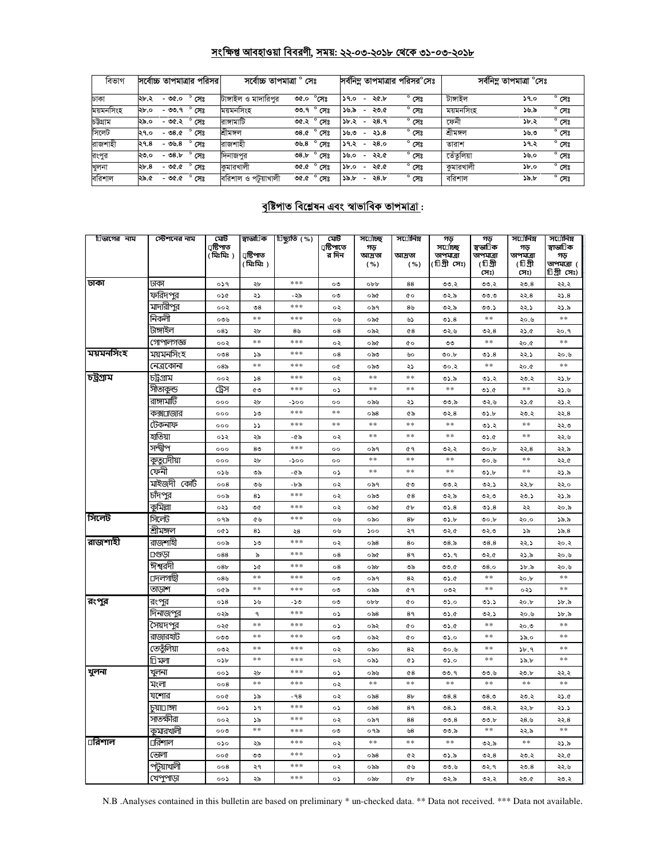# সংক্ষিপ্ত আবহাওয়া বিবরণী, সময়: ২২-০৩-২০১৮ থেকে ৩১-০৩-২০১৮

| বিভাগ     | সর্বোচ্চ তাপমাত্রার পরিসর         | সৰ্বোচ্চ তাপমাত্ৰা<br>সেঃ                      | সর্বনিম তাপমাত্রার পরিসর <sup>e</sup> সেঃ                         | সৰ্বনিম্ন তাপমাত্ৰা <sup>o</sup> সেঃ         |  |  |
|-----------|-----------------------------------|------------------------------------------------|-------------------------------------------------------------------|----------------------------------------------|--|--|
| ঢাকা      | $^{\circ}$ সেঃ<br>২৮.২<br>- ৩৫.০  | টাঙ্গাইল ও মাদারিপুর<br>$^{\circ}$ সেঃ<br>৩৫.০ | $^{\circ}$ সেঃ<br>২৫.৮<br>59.0<br>$\overline{\phantom{a}}$        | টাঙ্গাইল<br>$^{\circ}$ সেঃ<br>১৭.০           |  |  |
| ময়মনসিংহ | $^{\circ}$ সেঃ<br>$-99.9$<br>২৮.০ | $^{\circ}$ সেঃ<br>ময়মনসিংহ<br>৩৩.৭            | $^{\circ}$ সেঃ<br>১৬.৯<br>২৩.৫<br>$\overline{\phantom{0}}$        | ময়মনসিংহ<br>$^{\circ}$ সেঃ<br>৯৬.৯          |  |  |
| চউগ্ৰাম   | $^{\circ}$ সেঃ<br>২৯.০<br>$-96.3$ | ৩৫.২° সেঃ<br>রাসামাটি                          | $^{\circ}$ সেঃ<br>২8.৭<br>১৮.২<br>$\overline{\phantom{a}}$        | $^{\circ}$ সেঃ<br>ফেনী<br>১৮.২               |  |  |
| সিলেট     | $^{\circ}$ সেঃ<br>- ৩৪.৫<br>২৭.০  | $^{\circ}$ সেঃ<br>শ্ৰীমঙ্গল<br>৩৪.৫            | $^{\circ}$ সেঃ<br>১৬.৩<br>২১.৪<br>$\overline{\phantom{a}}$        | শ্ৰীমঙ্গল<br>$^{\circ}$ সেঃ<br>১৬.৩          |  |  |
| রাজশাহী   | $^{\circ}$ সেঃ<br>-৩৬.৪<br>२१.८   | রাজশাহী<br>৩৬.৪ $^{\circ}$ সেঃ                 | $^{\circ}$ সেঃ<br>২৪.০<br>১৭.২<br>$\overline{\phantom{0}}$        | $^{\circ}$ সেঃ<br>১৭.২<br>তারাশ              |  |  |
| রংপুর     | $^{\circ}$ সেঃ<br>- 08.b<br>২৩.০  | $^{\circ}$ সেঃ<br>08.5<br>দিনাজপুর             | $^{\circ}$ সেঃ<br>১৬.০<br>২২.৫<br>$\overline{\phantom{0}}$        | তেঁতলিয়া<br>$^{\circ}$ সেঃ<br>১৬.০          |  |  |
| খুলনা     | $^{\circ}$ সেঃ<br>- ৩৫.৫<br>২৮.৪  | কমারখালী<br>৩৫.৫ ° সেঃ                         | $^{\circ}$ সেঃ<br>২৫.৫<br>$\delta$ .0<br>$\overline{\phantom{m}}$ | $^{\circ}$ সেঃ<br>কমারখালী<br>$\delta$ .0    |  |  |
| বরিশাল    | $^{\circ}$ সেঃ<br>- ৩৫.৫<br>২৯.৫  | বরিশাল ও পটয়াখালী<br>$^{\circ}$ সেঃ<br>৩৫.৫   | $^{\circ}$ সেঃ<br>২৪.৮<br>১৯.৮<br>$\overline{\phantom{0}}$        | বরিশাল<br>$^{\circ}$ সেঃ<br>$\delta b$ , $b$ |  |  |

# <u> বৃষ্টিপাত বিশ্লেষন এবং স্বাভাবিক তাপমাত্রা :</u>

| চিভাগের নাম | স্টেশনের নাম | মেট<br>ঢ়ষ্টিপাত<br>(মিঃমিঃ) | স্বাভা∏ক<br>ঢ়ষ্টিপাত<br>( মিঃমিঃ) | ঢিছ্যুতি (%) | মেট<br>µষ্টিপাতে<br>র দিন | স⊔োঁচছ<br>গড়<br>আদ্ৰতা<br>( %) | স⊔োনিম<br>আদ্ৰতা<br>( %) | গড়<br>স¤াচ্ছি<br>তাপমাত্রা<br>(টিগ্ৰী সেঃ) | গড়<br>স্বভারিক<br>তাপমাত্রা<br>(টিগ্রী<br>সেঃ) | সার্ােনিম্ন<br>গড়<br>তাপমাত্রা<br>(টিগ্রী<br>সেঃ) | স⊔োনিম<br>স্বাভা∏ক<br>গড়<br>তাপমাত্রা (<br>চিগ্ৰীসেঃ) |
|-------------|--------------|------------------------------|------------------------------------|--------------|---------------------------|---------------------------------|--------------------------|---------------------------------------------|-------------------------------------------------|----------------------------------------------------|--------------------------------------------------------|
| ঢাকা        | ঢাকা         | ०১৭                          | ২৮                                 | ***          | ০৩                        | obb                             | 88                       | ৩৩.২                                        | ৩৩.২                                            | 20.8                                               | ২২.২                                                   |
|             | ফরিদপুর      | ০১৫                          | ২১                                 | -২৯          | ০৩                        | ০৯৫                             | <b>CO</b>                | ৩২.৯                                        | ৩৩.৩                                            | ২২.৪                                               | 25.8                                                   |
|             | মাদারীপুর    | ००२                          | $\mathcal{S}$                      | ***          | ০২                        | ০৯৭                             | 8 <sub>b</sub>           | ৩২.৯                                        | ৩৩.১                                            | ২২.১                                               | ২১.৯                                                   |
|             | নিকলী        | ০৩৬                          | $**$                               | ***          | ০৬                        | ০৯৫                             | ৬১                       | 05.8                                        | **                                              | ২০.৬                                               | $*$                                                    |
|             | টাঙ্গাইল     | $08\lambda$                  | ২৮                                 | ৪৬           | 08                        | ০৯২                             | 68                       | ৩২.৬                                        | ৩২.৪                                            | ২১.৫                                               | २०.१                                                   |
|             | গোপালগজ্ঞ    | ००२                          | $**$                               | $***$        | ০২                        | ০৯৫                             | <b>c</b> o               | ৩৩                                          | $**$                                            | ২০.৫                                               | $**$                                                   |
| ময়মনসিংহ   | ময়মনসিংহ    | 008                          | ১৯                                 | ***          | $^{\circ8}$               | ০৯৩                             | ৬০                       | 00.b                                        | 05.8                                            | ২২.১                                               | ২০.৬                                                   |
|             | নেত্রকোনা    | 08 <sub>0</sub>              | $**$                               | $* * *$      | o¢                        | ಂ৯৩                             | ২১                       | ৩০.২                                        | $\pm$ $\pm$                                     | ২০.৫                                               | $**$                                                   |
| চট্টগ্ৰাম   | চট্ৰগ্ৰাম    | ००२                          | 58                                 | ***          | ০২                        | **                              | **                       | ৩১.৯                                        | ৩১.২                                            | ২৩.২                                               | ২১.৮                                                   |
|             | সীতাকুন্ড    | ট্রেস                        | ৫৩                                 | ***          | ০১                        | $\pm\pm$                        | $\ast$ $\ast$            | $\ast$ $\ast$                               | 0.60                                            | $\ast$ $\ast$                                      | ২১.৬                                                   |
|             | রাঙ্গামার্টি | 000                          | ২৮                                 | -১০০         | $^{\circ}$                | ০৯৬                             | ২১                       | ৩৩.৯                                        | ৩২.৬                                            | ২১.৫                                               | ২১.২                                                   |
|             | কক্স⊔াজার    | 000                          | ১৩                                 | ***          | $* *$                     | ০৯৪                             | ৫৯                       | ৩২. $8$                                     | ৩১.৮                                            | ২৩.২                                               | ২২.৪                                                   |
|             | টেকনাফ       | 000                          | SS.                                | ***          | $**$                      | $**$                            | $**$                     | $**$                                        | ৩১.২                                            | $* *$                                              | ২২.৩                                                   |
|             | হাতিয়া      | ০১২                          | ২৯                                 | -৫৯          | ০২                        | $**$                            | $**$                     | **                                          | 0.6                                             | $**$                                               | ২২.৬                                                   |
|             | সন্দ্বীপ     | 000                          | 8 <sup>0</sup>                     | ***          | $^{\circ}$                | ০৯৭                             | ¢۹                       | ৩২.২                                        | 0.5                                             | ২২.৪                                               | ২২.৯                                                   |
|             | কুতু⊔দীয়া   | 000                          | ২৮                                 | -১০০         | $\circ$                   | $**$                            | $* *$                    | $\ast\ast$                                  | ৩০.৬                                            | **                                                 | ২২.৫                                                   |
|             | ফেনী         | ০১৬                          | ৩৯                                 | -৫৯          | ০১                        | $\pm\pm$                        | $\ast$ $\ast$            | $\ast$ $\ast$                               | ৩১.৮                                            | **                                                 | ২১.৯                                                   |
|             | মাইজদী কোর্ট | 008                          | ৩৬                                 | -৮৯          | ০২                        | ০৯৭                             | ৫৩                       | ৩৩.২                                        | ৩২.১                                            | ২২.৮                                               | ২২.০                                                   |
|             | চাঁদপুর      | ००৯                          | $8\sqrt{2}$                        | ***          | ০২                        | ಂನಿಲ                            | 68                       | ৩২.৯                                        | ৩২.৩                                            | ২৩.১                                               | ২১.৯                                                   |
|             | কুমিল্লা     | ০২১                          | ৩৫                                 | $***$        | ०२                        | ০৯৫                             | ¢Ъ                       | 05.8                                        | 05.8                                            | ২২                                                 | ২০.৯                                                   |
| সিলেট       | সিলেট        | ০৭৯                          | ৫৬                                 | $* * *$      | ০৬                        | ০৯০                             | 8 <sub>b</sub>           | ৩১.৮                                        | 0.5                                             | ২০.০                                               | ১৯.৯                                                   |
|             | শ্ৰীমঙ্গল    | ০৫১                          | 85                                 | ২৪           | ০৬                        | 500                             | ২৭                       | ৩২.৫                                        | ৩২.৩                                            | ১৯                                                 | 55.8                                                   |
| রাজশাহী     | রাজশাইী      | ००৯                          | ১৩                                 | ***          | ०२                        | $\circ$ ನಿ8                     | 80                       | 08.5                                        | 08.8                                            | ২২.১                                               | ২০.২                                                   |
|             | ⊔গুডা        | 088                          | ৯                                  | ***          | $\circ 8$                 | ০৯৫                             | 89                       | ৩১.৭                                        | ৩২.৫                                            | ২১.৯                                               | ২০.৬                                                   |
|             | ঈশ্বরদী      | 08 <sub>b</sub>              | ১৫                                 | ***          | $^{\circ8}$               | ০৯৮                             | ৩৯                       | 0.0C                                        | 08.0                                            | 3b.5                                               | ২০.৬                                                   |
|             | ⊔দলগাছী      | ০ $8$ ৬                      | **                                 | ***          | ০৩                        | ০৯৭                             | 82                       | ৩১.৫                                        | $**$                                            | ২০.৮                                               | **                                                     |
|             | তাড়াশ       | ০৫৯                          | $**$                               | $***$        | ০৩                        | ০৯৯                             | ৫ ৭                      | ০৩২                                         | $**$                                            | ০২১                                                | **                                                     |
| রংপুর       | রংপুর        | 0.58                         | ১৬                                 | -১৩          | ০৩                        | obb                             | <b>c</b> o               | 0.40                                        | ৩১.১                                            | ২০.৮                                               | ১৮.৯                                                   |
|             | দিনাজপুর     | ০২৯                          | ٩                                  | ***          | ০১                        | ০৯৪                             | 8٩                       | ৩১.৫                                        | ৩২.১                                            | ২০.৬                                               | ১৮.৯                                                   |
|             | সৈয়দপুর     | ০২৫                          | $**$                               | ***          | ০১                        | ০৯২                             | <b>c</b> o               | 0.60                                        | $* *$                                           | ২০.৩                                               | $**$                                                   |
|             | রাজারহাট     | ೦೮೮                          | $**$                               | ***          | ০৩                        | ০৯২                             | Q0                       | ৩১.০                                        | **                                              | ১৯.০                                               | **                                                     |
|             | তেতুঁলিয়া   | ০৩২                          | $**$                               | ***          | ০২                        | ০৯০                             | 82                       | 0.60                                        | $* *$                                           | 3b.9                                               | **                                                     |
|             | াি মলা       | 05b                          | $\ast$ $\ast$                      | ***          | ০২                        | ০৯১                             | GS                       | 0.40                                        | $* *$                                           | $\mathcal{S}_{\alpha}$                             | **                                                     |
| খুলনা       | খুলনা        | ००১                          | ২৮                                 | ***          | ০১                        | ০৯৬                             | 68                       | ৩৩.৭                                        | ৩৩.৬                                            | ২৩.৮                                               | ২২.২                                                   |
|             | মংলা         | 008                          | $**$                               | ***          | ০২                        | $**$                            | $**$                     | $**$                                        | $* *$                                           | $* *$                                              | $*$                                                    |
|             | যশোর         | 000                          | ১৯                                 | -98          | ০২                        | ০৯৪                             | 8 <sub>b</sub>           | 08.8                                        | 0.80                                            | ২৩.২                                               | ২১.৫                                                   |
|             | চুয়া⊡াঙ্গা  | ००১                          | 59                                 | ***          | ০১                        | $\circ$ ನಿ8                     | 89                       | 08.5                                        | ৩৪.২                                            | ২২.৮                                               | ২১.১                                                   |
|             | সাতক্ষীরা    | ००२                          | ১৯                                 | ***          | ০২                        | ০৯৭                             | 88                       | 00.8                                        | 00.b                                            | ২৪.৬                                               | ২২.৪                                                   |
|             | কুমারখালী    | ००७                          | $**$                               | ***          | ০৩                        | ০৭৯                             | ৬৪                       | ৩৩.৯                                        | $\pm$ $\pm$                                     | ২২.৯                                               | $\pm \pm$                                              |
| πরিশাল      | ⊔রিশাল       | ०১०                          | ২৯                                 | ***          | ০২                        | $* *$                           | $* *$                    | $* *$                                       | ৩২.৯                                            | **                                                 | ২১.৯                                                   |
|             | ভোলা         | 000                          | ৩৩                                 | $***$        | ০১                        | ০৯৪                             | ৫২                       | ৩১.৯                                        | ৩২.৪                                            | ২৩.২                                               | ২২.৫                                                   |
|             | পটয়াখালী    | 008                          | ২৭                                 | ***          | ০২                        | ০৯৯                             | ৫৬                       | ৩৩.৬                                        | ৩২.৭                                            | 20.8                                               | ২২.৬                                                   |
|             | খেপপাডা      | ০০১                          | ২৯                                 | $***$        | ০১                        | ০৯৮                             | <b>Gb</b>                | ৩২.৯                                        | ৩২.২                                            | ২৩.৫                                               | ২৩.২                                                   |

N.B .Analyses contained in this bulletin are based on preliminary \* un-checked data. \*\* Data not received. \*\*\* Data not available.